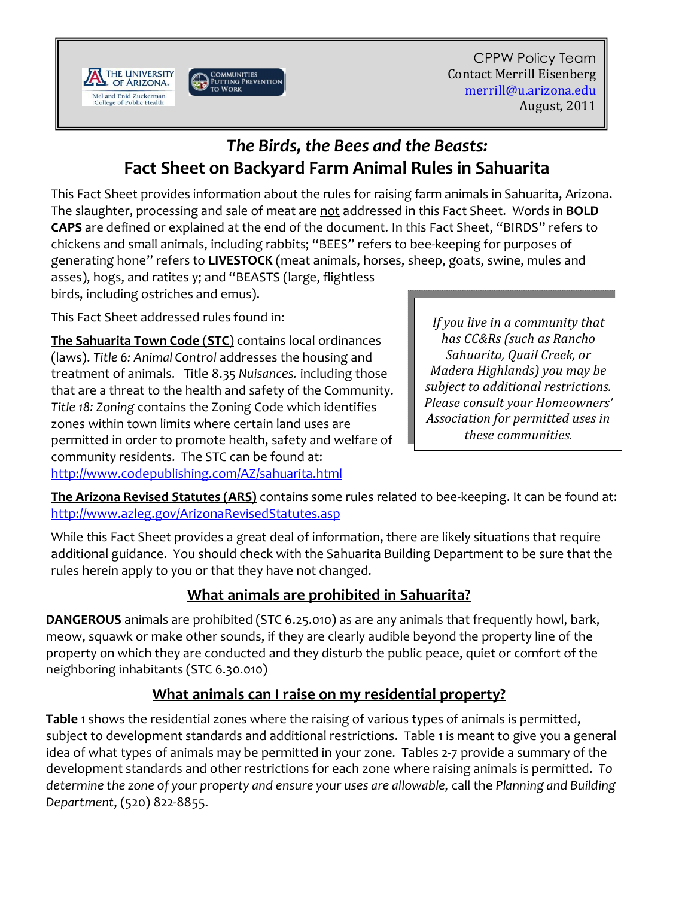



# *The Birds, the Bees and the Beasts:* **Fact Sheet on Backyard Farm Animal Rules in Sahuarita**

This Fact Sheet provides information about the rules for raising farm animals in Sahuarita, Arizona. The slaughter, processing and sale of meat are not addressed in this Fact Sheet. Words in **BOLD CAPS** are defined or explained at the end of the document. In this Fact Sheet, "BIRDS" refers to chickens and small animals, including rabbits; "BEES" refers to bee-keeping for purposes of generating hone" refers to **LIVESTOCK** (meat animals, horses, sheep, goats, swine, mules and asses), hogs, and ratites y; and "BEASTS (large, flightless

birds, including ostriches and emus).

This Fact Sheet addressed rules found in:

**The Sahuarita Town Code** (**STC**) contains local ordinances (laws). *Title 6: Animal Control* addresses the housing and treatment of animals. Title 8.35 *Nuisances.* including those that are a threat to the health and safety of the Community. *Title 18: Zoning* contains the Zoning Code which identifies zones within town limits where certain land uses are permitted in order to promote health, safety and welfare of community residents. The STC can be found at: http://www.codepublishing.com/AZ/sahuarita.html

*If you live in a community that has CC&Rs (such as Rancho Sahuarita, Quail Creek, or Madera Highlands) you may be subject to additional restrictions. Please consult your Homeowners' Association for permitted uses in these communities.* 

**The Arizona Revised Statutes (ARS)** contains some rules related to bee-keeping. It can be found at: http://www.azleg.gov/ArizonaRevisedStatutes.asp

While this Fact Sheet provides a great deal of information, there are likely situations that require additional guidance. You should check with the Sahuarita Building Department to be sure that the rules herein apply to you or that they have not changed.

# **What animals are prohibited in Sahuarita?**

**DANGEROUS** animals are prohibited (STC 6.25.010) as are any animals that frequently howl, bark, meow, squawk or make other sounds, if they are clearly audible beyond the property line of the property on which they are conducted and they disturb the public peace, quiet or comfort of the neighboring inhabitants (STC 6.30.010)

# **What animals can I raise on my residential property?**

**Table 1** shows the residential zones where the raising of various types of animals is permitted, subject to development standards and additional restrictions. Table 1 is meant to give you a general idea of what types of animals may be permitted in your zone. Tables 2-7 provide a summary of the development standards and other restrictions for each zone where raising animals is permitted. *To determine the zone of your property and ensure your uses are allowable,* call the *Planning and Building Department*, (520) 822-8855.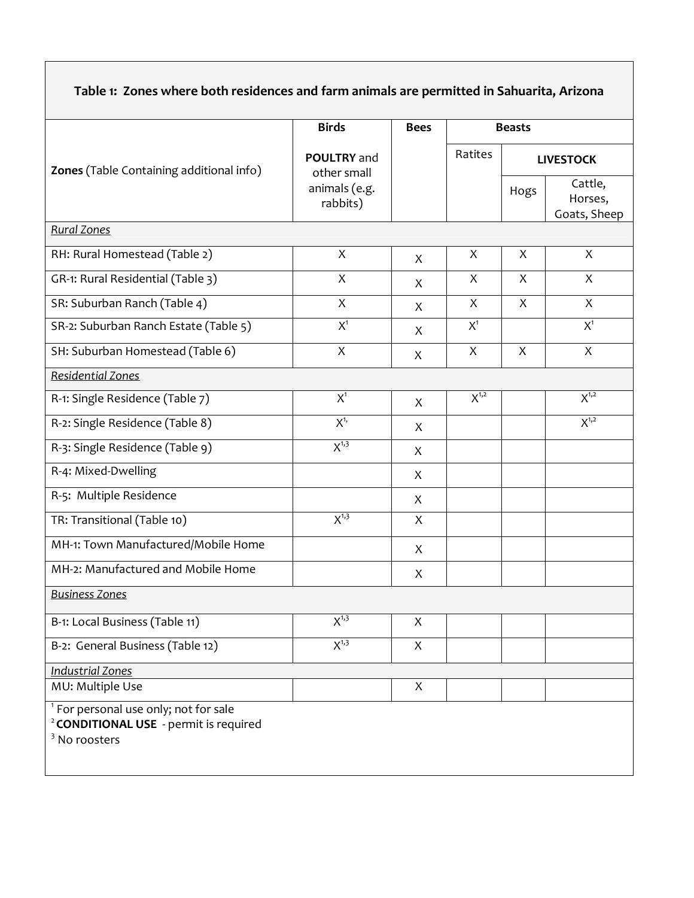| Table 1: Zones where both residences and farm animals are permitted in Sahuarita, Arizona |  |
|-------------------------------------------------------------------------------------------|--|
|-------------------------------------------------------------------------------------------|--|

|                                                                                                                                   | <b>Birds</b>                          | <b>Bees</b>  | <b>Beasts</b>  |                  |                                    |
|-----------------------------------------------------------------------------------------------------------------------------------|---------------------------------------|--------------|----------------|------------------|------------------------------------|
| Zones (Table Containing additional info)                                                                                          | POULTRY and<br>other small            |              | Ratites        | <b>LIVESTOCK</b> |                                    |
|                                                                                                                                   | animals (e.g.<br>rabbits)             |              |                | Hogs             | Cattle,<br>Horses,<br>Goats, Sheep |
| <b>Rural Zones</b>                                                                                                                |                                       |              |                |                  |                                    |
| RH: Rural Homestead (Table 2)                                                                                                     | X                                     | X            | X              | X                | X                                  |
| GR-1: Rural Residential (Table 3)                                                                                                 | X                                     | X            | X              | X                | X                                  |
| SR: Suburban Ranch (Table 4)                                                                                                      | X                                     | X            | X              | X                | X                                  |
| SR-2: Suburban Ranch Estate (Table 5)                                                                                             | $X^1$                                 | X            | X <sup>1</sup> |                  | $X^1$                              |
| SH: Suburban Homestead (Table 6)                                                                                                  | $\boldsymbol{X}$                      | X            | X              | X                | $\mathsf{X}$                       |
| Residential Zones                                                                                                                 |                                       |              |                |                  |                                    |
| R-1: Single Residence (Table 7)                                                                                                   | $X^1$                                 | X            | $X^{1,2}$      |                  | $X^{1,2}$                          |
| R-2: Single Residence (Table 8)                                                                                                   | $X^{1,}$                              | X            |                |                  | $X^{1,2}$                          |
| R-3: Single Residence (Table 9)                                                                                                   | $X^{1,3}$                             | X            |                |                  |                                    |
| R-4: Mixed-Dwelling                                                                                                               |                                       | X            |                |                  |                                    |
| R-5: Multiple Residence                                                                                                           |                                       | X            |                |                  |                                    |
| TR: Transitional (Table 10)                                                                                                       | $X^{1,3}$                             | $\mathsf{X}$ |                |                  |                                    |
| MH-1: Town Manufactured/Mobile Home                                                                                               |                                       | X            |                |                  |                                    |
| MH-2: Manufactured and Mobile Home                                                                                                |                                       | X            |                |                  |                                    |
| <b>Business Zones</b>                                                                                                             |                                       |              |                |                  |                                    |
| B-1: Local Business (Table 11)                                                                                                    | $\mathsf{X}^{\scriptscriptstyle 1,3}$ | X            |                |                  |                                    |
| B-2: General Business (Table 12)                                                                                                  | $X^{1,3}$                             | X            |                |                  |                                    |
| <b>Industrial Zones</b>                                                                                                           |                                       |              |                |                  |                                    |
| MU: Multiple Use                                                                                                                  |                                       | X            |                |                  |                                    |
| <sup>1</sup> For personal use only; not for sale<br><sup>2</sup> CONDITIONAL USE - permit is required<br><sup>3</sup> No roosters |                                       |              |                |                  |                                    |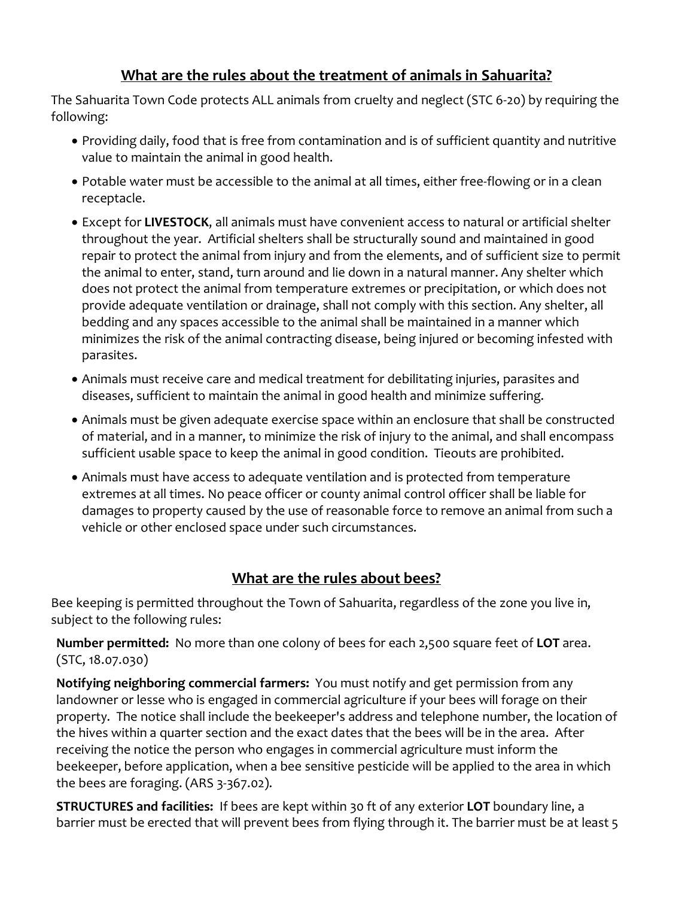#### **What are the rules about the treatment of animals in Sahuarita?**

The Sahuarita Town Code protects ALL animals from cruelty and neglect (STC 6-20) by requiring the following:

- · Providing daily, food that is free from contamination and is of sufficient quantity and nutritive value to maintain the animal in good health.
- · Potable water must be accessible to the animal at all times, either free-flowing or in a clean receptacle.
- · Except for **LIVESTOCK**, all animals must have convenient access to natural or artificial shelter throughout the year. Artificial shelters shall be structurally sound and maintained in good repair to protect the animal from injury and from the elements, and of sufficient size to permit the animal to enter, stand, turn around and lie down in a natural manner. Any shelter which does not protect the animal from temperature extremes or precipitation, or which does not provide adequate ventilation or drainage, shall not comply with this section. Any shelter, all bedding and any spaces accessible to the animal shall be maintained in a manner which minimizes the risk of the animal contracting disease, being injured or becoming infested with parasites.
- · Animals must receive care and medical treatment for debilitating injuries, parasites and diseases, sufficient to maintain the animal in good health and minimize suffering.
- · Animals must be given adequate exercise space within an enclosure that shall be constructed of material, and in a manner, to minimize the risk of injury to the animal, and shall encompass sufficient usable space to keep the animal in good condition. Tieouts are prohibited.
- · Animals must have access to adequate ventilation and is protected from temperature extremes at all times. No peace officer or county animal control officer shall be liable for damages to property caused by the use of reasonable force to remove an animal from such a vehicle or other enclosed space under such circumstances.

#### **What are the rules about bees?**

Bee keeping is permitted throughout the Town of Sahuarita, regardless of the zone you live in, subject to the following rules:

**Number permitted:** No more than one colony of bees for each 2,500 square feet of **LOT** area. (STC, 18.07.030)

**Notifying neighboring commercial farmers:** You must notify and get permission from any landowner or lesse who is engaged in commercial agriculture if your bees will forage on their property. The notice shall include the beekeeper's address and telephone number, the location of the hives within a quarter section and the exact dates that the bees will be in the area. After receiving the notice the person who engages in commercial agriculture must inform the beekeeper, before application, when a bee sensitive pesticide will be applied to the area in which the bees are foraging. (ARS 3-367.02).

**STRUCTURES and facilities:** If bees are kept within 30 ft of any exterior **LOT** boundary line, a barrier must be erected that will prevent bees from flying through it. The barrier must be at least 5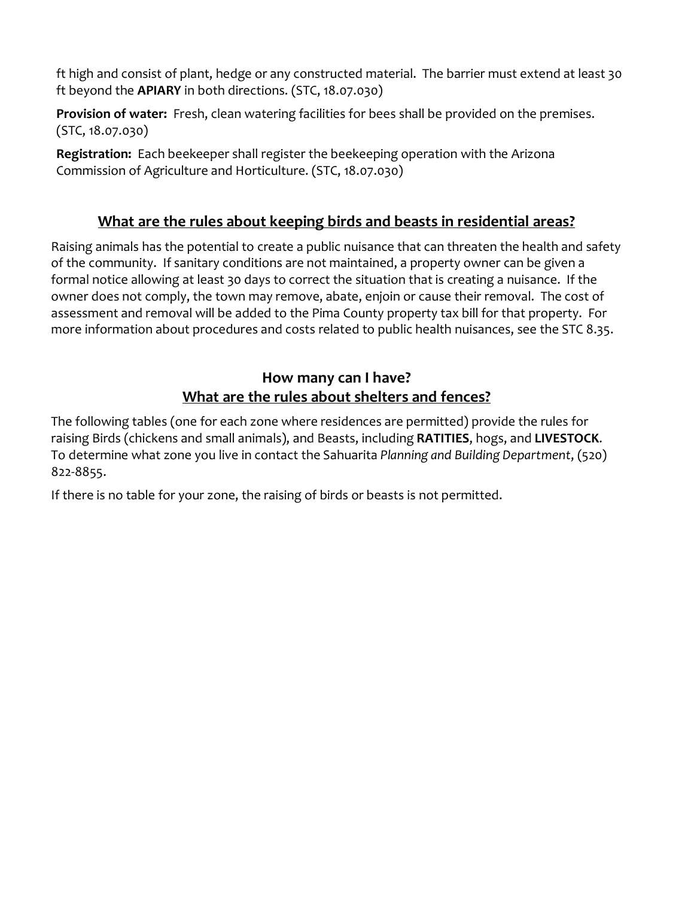ft high and consist of plant, hedge or any constructed material. The barrier must extend at least 30 ft beyond the **APIARY** in both directions. (STC, 18.07.030)

**Provision of water:** Fresh, clean watering facilities for bees shall be provided on the premises. (STC, 18.07.030)

**Registration:** Each beekeeper shall register the beekeeping operation with the Arizona Commission of Agriculture and Horticulture. (STC, 18.07.030)

#### **What are the rules about keeping birds and beasts in residential areas?**

Raising animals has the potential to create a public nuisance that can threaten the health and safety of the community. If sanitary conditions are not maintained, a property owner can be given a formal notice allowing at least 30 days to correct the situation that is creating a nuisance. If the owner does not comply, the town may remove, abate, enjoin or cause their removal. The cost of assessment and removal will be added to the Pima County property tax bill for that property. For more information about procedures and costs related to public health nuisances, see the STC 8.35.

### **How many can I have? What are the rules about shelters and fences?**

The following tables (one for each zone where residences are permitted) provide the rules for raising Birds (chickens and small animals), and Beasts, including **RATITIES**, hogs, and **LIVESTOCK**. To determine what zone you live in contact the Sahuarita *Planning and Building Department*, (520) 822-8855.

If there is no table for your zone, the raising of birds or beasts is not permitted.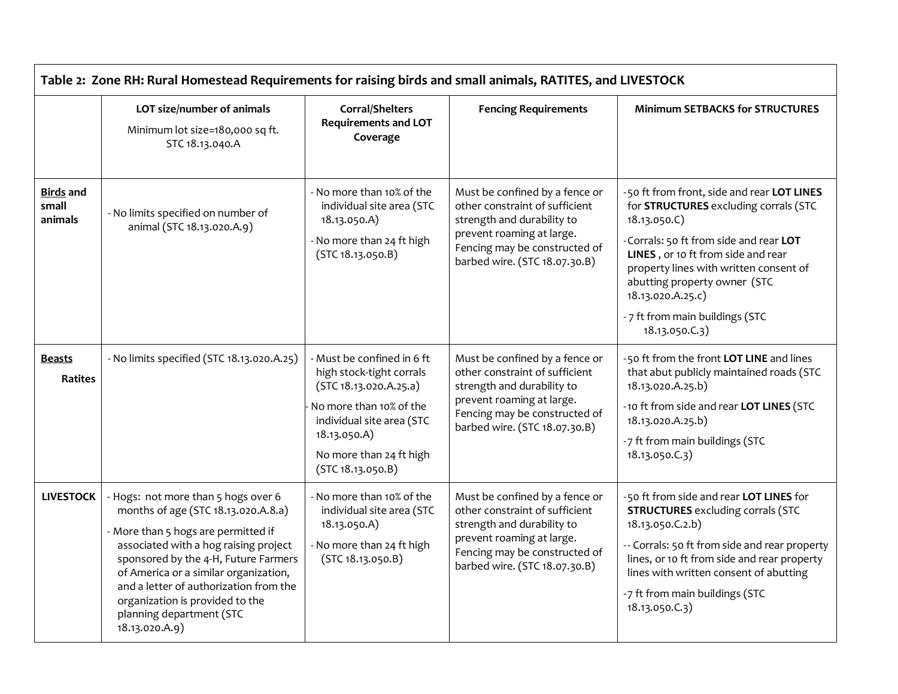| Table 2: Zone RH: Rural Homestead Requirements for raising birds and small animals, RATITES, and LIVESTOCK |                                                                                                                                                                                                                                                                                                                                                                        |                                                                                                                                                                                                          |                                                                                                                                                                                               |                                                                                                                                                                                                                                                                                                                                         |
|------------------------------------------------------------------------------------------------------------|------------------------------------------------------------------------------------------------------------------------------------------------------------------------------------------------------------------------------------------------------------------------------------------------------------------------------------------------------------------------|----------------------------------------------------------------------------------------------------------------------------------------------------------------------------------------------------------|-----------------------------------------------------------------------------------------------------------------------------------------------------------------------------------------------|-----------------------------------------------------------------------------------------------------------------------------------------------------------------------------------------------------------------------------------------------------------------------------------------------------------------------------------------|
|                                                                                                            | LOT size/number of animals<br>Minimum lot size=180,000 sq ft.<br>STC 18.13.040.A                                                                                                                                                                                                                                                                                       | Corral/Shelters<br><b>Requirements and LOT</b><br>Coverage                                                                                                                                               | <b>Fencing Requirements</b>                                                                                                                                                                   | <b>Minimum SETBACKS for STRUCTURES</b>                                                                                                                                                                                                                                                                                                  |
| <b>Birds and</b><br>small<br>animals                                                                       | - No limits specified on number of<br>animal (STC 18.13.020.A.9)                                                                                                                                                                                                                                                                                                       | - No more than 10% of the<br>individual site area (STC<br>18.13.050.A)<br>- No more than 24 ft high<br>(STC 18.13.050.B)                                                                                 | Must be confined by a fence or<br>other constraint of sufficient<br>strength and durability to<br>prevent roaming at large.<br>Fencing may be constructed of<br>barbed wire. (STC 18.07.30.B) | -50 ft from front, side and rear LOT LINES<br>for STRUCTURES excluding corrals (STC<br>18.13.050.C)<br>-Corrals: 50 ft from side and rear LOT<br>LINES, or 10 ft from side and rear<br>property lines with written consent of<br>abutting property owner (STC<br>18.13.020.A.25.c)<br>- 7 ft from main buildings (STC<br>18.13.050.C.3) |
| <b>Beasts</b><br>Ratites                                                                                   | - No limits specified (STC 18.13.020.A.25)                                                                                                                                                                                                                                                                                                                             | - Must be confined in 6 ft<br>high stock-tight corrals<br>(STC 18.13.020.A.25.a)<br>No more than 10% of the<br>individual site area (STC<br>18.13.050.A)<br>No more than 24 ft high<br>(STC 18.13.050.B) | Must be confined by a fence or<br>other constraint of sufficient<br>strength and durability to<br>prevent roaming at large.<br>Fencing may be constructed of<br>barbed wire. (STC 18.07.30.B) | -50 ft from the front LOT LINE and lines<br>that abut publicly maintained roads (STC<br>18.13.020.A.25.b)<br>-10 ft from side and rear LOT LINES (STC<br>18.13.020.A.25.b)<br>-7 ft from main buildings (STC<br>18.13.050.C.3)                                                                                                          |
| <b>LIVESTOCK</b>                                                                                           | - Hogs: not more than 5 hogs over 6<br>months of age (STC 18.13.020.A.8.a)<br>- More than 5 hogs are permitted if<br>associated with a hog raising project<br>sponsored by the 4-H, Future Farmers<br>of America or a similar organization,<br>and a letter of authorization from the<br>organization is provided to the<br>planning department (STC<br>18.13.020.A.9) | - No more than 10% of the<br>individual site area (STC<br>18.13.050.A)<br>- No more than 24 ft high<br>(STC 18.13.050.B)                                                                                 | Must be confined by a fence or<br>other constraint of sufficient<br>strength and durability to<br>prevent roaming at large.<br>Fencing may be constructed of<br>barbed wire. (STC 18.07.30.B) | -50 ft from side and rear LOT LINES for<br><b>STRUCTURES</b> excluding corrals (STC<br>18.13.050.C.2.b)<br>-- Corrals: 50 ft from side and rear property<br>lines, or 10 ft from side and rear property<br>lines with written consent of abutting<br>-7 ft from main buildings (STC<br>18.13.050.C.3)                                   |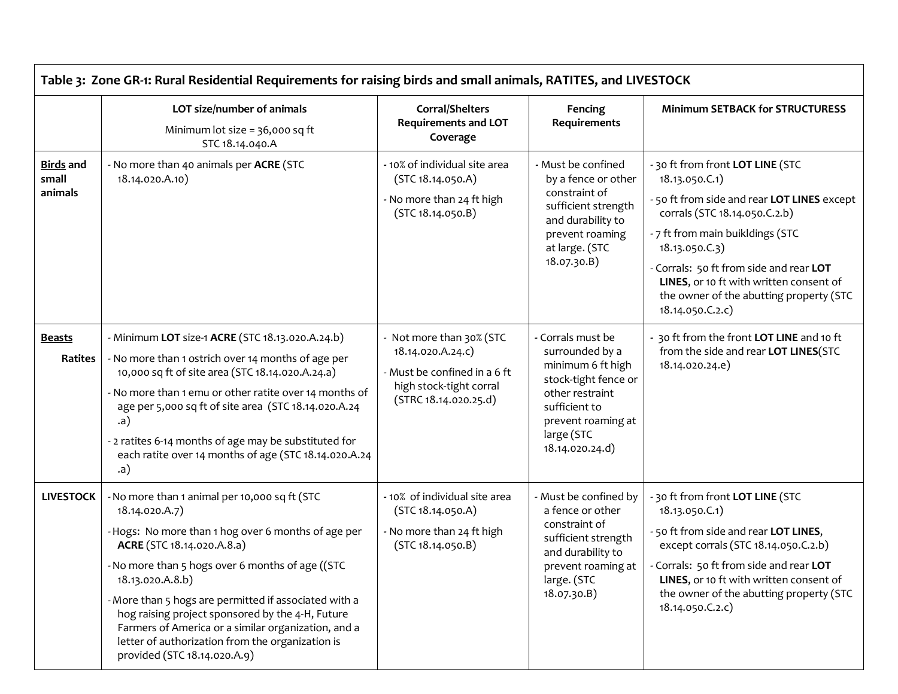|                                      | Table 3: Zone GR-1: Rural Residential Requirements for raising birds and small animals, RATITES, and LIVESTOCK                                                                                                                                                                                                                                                                                                                                                                       |                                                                                                                                   |                                                                                                                                                                              |                                                                                                                                                                                                                                                                                                                                            |  |  |  |
|--------------------------------------|--------------------------------------------------------------------------------------------------------------------------------------------------------------------------------------------------------------------------------------------------------------------------------------------------------------------------------------------------------------------------------------------------------------------------------------------------------------------------------------|-----------------------------------------------------------------------------------------------------------------------------------|------------------------------------------------------------------------------------------------------------------------------------------------------------------------------|--------------------------------------------------------------------------------------------------------------------------------------------------------------------------------------------------------------------------------------------------------------------------------------------------------------------------------------------|--|--|--|
|                                      | LOT size/number of animals<br>Minimum lot size = 36,000 sq ft<br>STC 18.14.040.A                                                                                                                                                                                                                                                                                                                                                                                                     | Corral/Shelters<br><b>Requirements and LOT</b><br>Coverage                                                                        | Fencing<br>Requirements                                                                                                                                                      | <b>Minimum SETBACK for STRUCTURESS</b>                                                                                                                                                                                                                                                                                                     |  |  |  |
| <b>Birds</b> and<br>small<br>animals | - No more than 40 animals per ACRE (STC<br>18.14.020.A.10)                                                                                                                                                                                                                                                                                                                                                                                                                           | - 10% of individual site area<br>(STC 18.14.050.A)<br>- No more than 24 ft high<br>(STC 18.14.050.B)                              | - Must be confined<br>by a fence or other<br>constraint of<br>sufficient strength<br>and durability to<br>prevent roaming<br>at large. (STC<br>18.07.30.B)                   | - 30 ft from front LOT LINE (STC<br>18.13.050.C.1)<br>-50 ft from side and rear LOT LINES except<br>corrals (STC 18.14.050.C.2.b)<br>- 7 ft from main buikldings (STC<br>18.13.050.C.3)<br>Corrals: 50 ft from side and rear LOT<br>LINES, or 10 ft with written consent of<br>the owner of the abutting property (STC<br>18.14.050.C.2.c) |  |  |  |
| <b>Beasts</b><br>Ratites             | - Minimum LOT size-1 ACRE (STC 18.13.020.A.24.b)<br>- No more than 1 ostrich over 14 months of age per<br>10,000 sq ft of site area (STC 18.14.020.A.24.a)<br>- No more than 1 emu or other ratite over 14 months of<br>age per 5,000 sq ft of site area (STC 18.14.020.A.24<br>(a)<br>- 2 ratites 6-14 months of age may be substituted for<br>each ratite over 14 months of age (STC 18.14.020.A.24<br>(a)                                                                         | - Not more than 30% (STC<br>18.14.020.A.24.c)<br>- Must be confined in a 6 ft<br>high stock-tight corral<br>(STRC 18.14.020.25.d) | - Corrals must be<br>surrounded by a<br>minimum 6 ft high<br>stock-tight fence or<br>other restraint<br>sufficient to<br>prevent roaming at<br>large (STC<br>18.14.020.24.d) | 30 ft from the front LOT LINE and 10 ft<br>from the side and rear LOT LINES(STC<br>18.14.020.24.e)                                                                                                                                                                                                                                         |  |  |  |
| <b>LIVESTOCK</b>                     | - No more than 1 animal per 10,000 sq ft (STC<br>18.14.020.A.7)<br>- Hogs: No more than 1 hog over 6 months of age per<br>ACRE (STC 18.14.020.A.8.a)<br>- No more than 5 hogs over 6 months of age ((STC<br>18.13.020.A.8.b)<br>- More than 5 hogs are permitted if associated with a<br>hog raising project sponsored by the 4-H, Future<br>Farmers of America or a similar organization, and a<br>letter of authorization from the organization is<br>provided (STC 18.14.020.A.9) | - 10% of individual site area<br>(STC 18.14.050.A)<br>- No more than 24 ft high<br>(STC 18.14.050.B)                              | - Must be confined by<br>a fence or other<br>constraint of<br>sufficient strength<br>and durability to<br>prevent roaming at<br>large. (STC<br>18.07.30.B)                   | - 30 ft from front LOT LINE (STC<br>18.13.050.C.1)<br>- 50 ft from side and rear LOT LINES,<br>except corrals (STC 18.14.050.C.2.b)<br>- Corrals: 50 ft from side and rear LOT<br>LINES, or 10 ft with written consent of<br>the owner of the abutting property (STC<br>18.14.050.C.2.c)                                                   |  |  |  |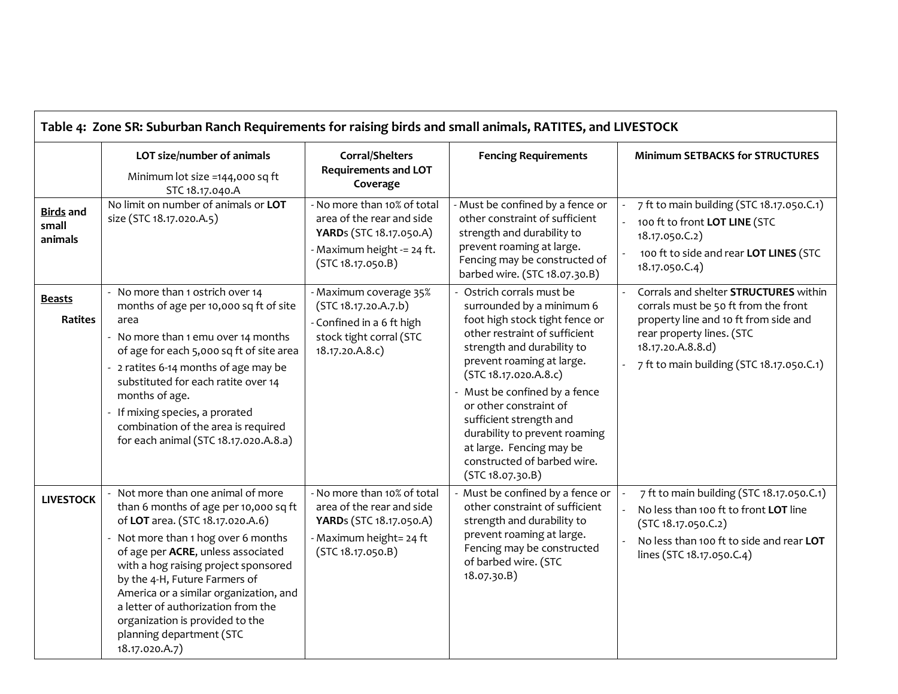| Table 4: Zone SR: Suburban Ranch Requirements for raising birds and small animals, RATITES, and LIVESTOCK |                                                                                                                                                                                                                                                                                                                                                                                                                                    |                                                                                                                                        |                                                                                                                                                                                                                                                                                                                                                                                                                     |                                                                                                                                                                                                                       |
|-----------------------------------------------------------------------------------------------------------|------------------------------------------------------------------------------------------------------------------------------------------------------------------------------------------------------------------------------------------------------------------------------------------------------------------------------------------------------------------------------------------------------------------------------------|----------------------------------------------------------------------------------------------------------------------------------------|---------------------------------------------------------------------------------------------------------------------------------------------------------------------------------------------------------------------------------------------------------------------------------------------------------------------------------------------------------------------------------------------------------------------|-----------------------------------------------------------------------------------------------------------------------------------------------------------------------------------------------------------------------|
|                                                                                                           | LOT size/number of animals<br>Minimum lot size =144,000 sq ft<br>STC 18.17.040.A                                                                                                                                                                                                                                                                                                                                                   | <b>Corral/Shelters</b><br><b>Requirements and LOT</b><br>Coverage                                                                      | <b>Fencing Requirements</b>                                                                                                                                                                                                                                                                                                                                                                                         | <b>Minimum SETBACKS for STRUCTURES</b>                                                                                                                                                                                |
| <b>Birds</b> and<br>small<br>animals                                                                      | No limit on number of animals or LOT<br>size (STC 18.17.020.A.5)                                                                                                                                                                                                                                                                                                                                                                   | - No more than 10% of total<br>area of the rear and side<br>YARDs (STC 18.17.050.A)<br>- Maximum height -= 24 ft.<br>(STC 18.17.050.B) | - Must be confined by a fence or<br>other constraint of sufficient<br>strength and durability to<br>prevent roaming at large.<br>Fencing may be constructed of<br>barbed wire. (STC 18.07.30.B)                                                                                                                                                                                                                     | 7 ft to main building (STC 18.17.050.C.1)<br>100 ft to front LOT LINE (STC<br>18.17.050.C.2)<br>100 ft to side and rear LOT LINES (STC<br>18.17.050.C.4)                                                              |
| <b>Beasts</b><br><b>Ratites</b>                                                                           | - No more than 1 ostrich over 14<br>months of age per 10,000 sq ft of site<br>area<br>- No more than 1 emu over 14 months<br>of age for each 5,000 sq ft of site area<br>2 ratites 6-14 months of age may be<br>substituted for each ratite over 14<br>months of age.<br>If mixing species, a prorated<br>combination of the area is required<br>for each animal (STC 18.17.020.A.8.a)                                             | - Maximum coverage 35%<br>(STC 18.17.20.A.7.b)<br>- Confined in a 6 ft high<br>stock tight corral (STC<br>18.17.20.A.8.c)              | - Ostrich corrals must be<br>surrounded by a minimum 6<br>foot high stock tight fence or<br>other restraint of sufficient<br>strength and durability to<br>prevent roaming at large.<br>(STC 18.17.020.A.8.c)<br>- Must be confined by a fence<br>or other constraint of<br>sufficient strength and<br>durability to prevent roaming<br>at large. Fencing may be<br>constructed of barbed wire.<br>(STC 18.07.30.B) | Corrals and shelter STRUCTURES within<br>corrals must be 50 ft from the front<br>property line and 10 ft from side and<br>rear property lines. (STC<br>18.17.20.A.8.8.d)<br>7 ft to main building (STC 18.17.050.C.1) |
| <b>LIVESTOCK</b>                                                                                          | Not more than one animal of more<br>than 6 months of age per 10,000 sq ft<br>of LOT area. (STC 18.17.020.A.6)<br>Not more than 1 hog over 6 months<br>of age per ACRE, unless associated<br>with a hog raising project sponsored<br>by the 4-H, Future Farmers of<br>America or a similar organization, and<br>a letter of authorization from the<br>organization is provided to the<br>planning department (STC<br>18.17.020.A.7) | - No more than 10% of total<br>area of the rear and side<br>YARDs (STC 18.17.050.A)<br>- Maximum height= 24 ft<br>(STC 18.17.050.B)    | - Must be confined by a fence or<br>other constraint of sufficient<br>strength and durability to<br>prevent roaming at large.<br>Fencing may be constructed<br>of barbed wire. (STC<br>18.07.30.B)                                                                                                                                                                                                                  | 7 ft to main building (STC 18.17.050.C.1)<br>No less than 100 ft to front LOT line<br>(STC 18.17.050.C.2)<br>No less than 100 ft to side and rear LOT<br>lines (STC 18.17.050.C.4)                                    |

 $\Gamma$ 

┑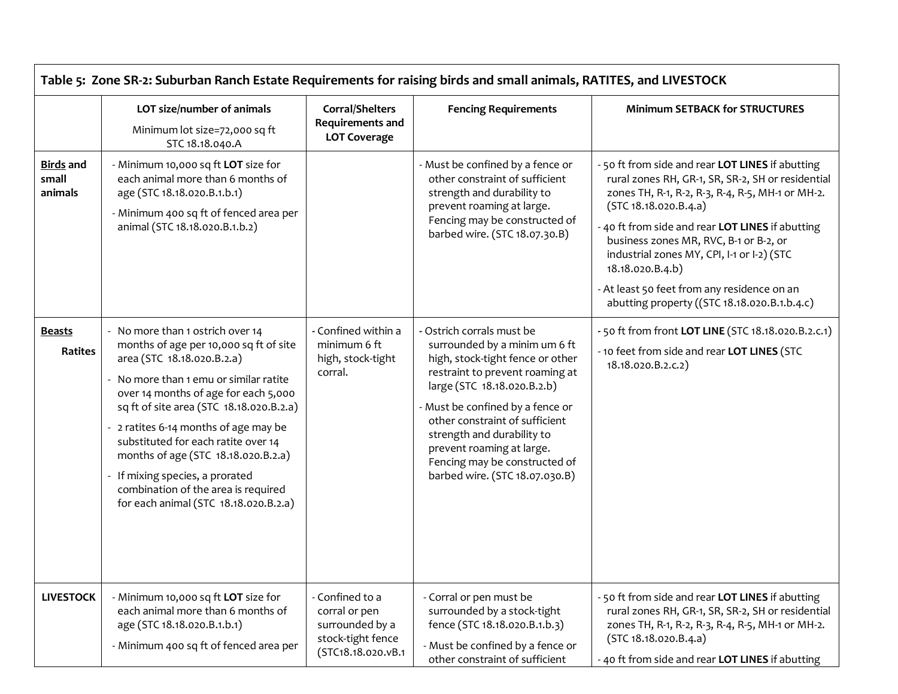|                                      | LOT size/number of animals<br>Minimum lot size=72,000 sq ft<br>STC 18.18.040.A                                                                                                                                                                                                                                                                                                                                                                                                   | <b>Corral/Shelters</b><br>Requirements and<br><b>LOT Coverage</b>                              | <b>Fencing Requirements</b>                                                                                                                                                                                                                                                                                                                                          | <b>Minimum SETBACK for STRUCTURES</b>                                                                                                                                                                                                                                                                                                                                                                                                             |
|--------------------------------------|----------------------------------------------------------------------------------------------------------------------------------------------------------------------------------------------------------------------------------------------------------------------------------------------------------------------------------------------------------------------------------------------------------------------------------------------------------------------------------|------------------------------------------------------------------------------------------------|----------------------------------------------------------------------------------------------------------------------------------------------------------------------------------------------------------------------------------------------------------------------------------------------------------------------------------------------------------------------|---------------------------------------------------------------------------------------------------------------------------------------------------------------------------------------------------------------------------------------------------------------------------------------------------------------------------------------------------------------------------------------------------------------------------------------------------|
| <b>Birds</b> and<br>small<br>animals | - Minimum 10,000 sq ft LOT size for<br>each animal more than 6 months of<br>age (STC 18.18.020.B.1.b.1)<br>- Minimum 400 sq ft of fenced area per<br>animal (STC 18.18.020.B.1.b.2)                                                                                                                                                                                                                                                                                              |                                                                                                | - Must be confined by a fence or<br>other constraint of sufficient<br>strength and durability to<br>prevent roaming at large.<br>Fencing may be constructed of<br>barbed wire. (STC 18.07.30.B)                                                                                                                                                                      | - 50 ft from side and rear LOT LINES if abutting<br>rural zones RH, GR-1, SR, SR-2, SH or residential<br>zones TH, R-1, R-2, R-3, R-4, R-5, MH-1 or MH-2.<br>(STC 18.18.020.B.4.a)<br>- 40 ft from side and rear LOT LINES if abutting<br>business zones MR, RVC, B-1 or B-2, or<br>industrial zones MY, CPI, I-1 or I-2) (STC<br>18.18.020.B.4.b)<br>- At least 50 feet from any residence on an<br>abutting property ((STC 18.18.020.B.1.b.4.c) |
| <b>Beasts</b><br><b>Ratites</b>      | - No more than 1 ostrich over 14<br>months of age per 10,000 sq ft of site<br>area (STC 18.18.020.B.2.a)<br>- No more than 1 emu or similar ratite<br>over 14 months of age for each 5,000<br>sq ft of site area (STC 18.18.020.B.2.a)<br>- 2 ratites 6-14 months of age may be<br>substituted for each ratite over 14<br>months of age (STC 18.18.020.B.2.a)<br>- If mixing species, a prorated<br>combination of the area is required<br>for each animal (STC 18.18.020.B.2.a) | - Confined within a<br>minimum 6 ft<br>high, stock-tight<br>corral.                            | - Ostrich corrals must be<br>surrounded by a minim um 6 ft<br>high, stock-tight fence or other<br>restraint to prevent roaming at<br>large (STC 18.18.020.B.2.b)<br>- Must be confined by a fence or<br>other constraint of sufficient<br>strength and durability to<br>prevent roaming at large.<br>Fencing may be constructed of<br>barbed wire. (STC 18.07.030.B) | - 50 ft from front LOT LINE (STC 18.18.020.B.2.c.1)<br>- 10 feet from side and rear LOT LINES (STC<br>18.18.020.B.2.c.2)                                                                                                                                                                                                                                                                                                                          |
| <b>LIVESTOCK</b>                     | - Minimum 10,000 sq ft LOT size for<br>each animal more than 6 months of<br>age (STC 18.18.020.B.1.b.1)<br>- Minimum 400 sq ft of fenced area per                                                                                                                                                                                                                                                                                                                                | - Confined to a<br>corral or pen<br>surrounded by a<br>stock-tight fence<br>(STC18.18.020.vB.1 | - Corral or pen must be<br>surrounded by a stock-tight<br>fence (STC 18.18.020.B.1.b.3)<br>- Must be confined by a fence or<br>other constraint of sufficient                                                                                                                                                                                                        | - 50 ft from side and rear LOT LINES if abutting<br>rural zones RH, GR-1, SR, SR-2, SH or residential<br>zones TH, R-1, R-2, R-3, R-4, R-5, MH-1 or MH-2.<br>(STC 18.18.020.B.4.a)<br>- 40 ft from side and rear LOT LINES if abutting                                                                                                                                                                                                            |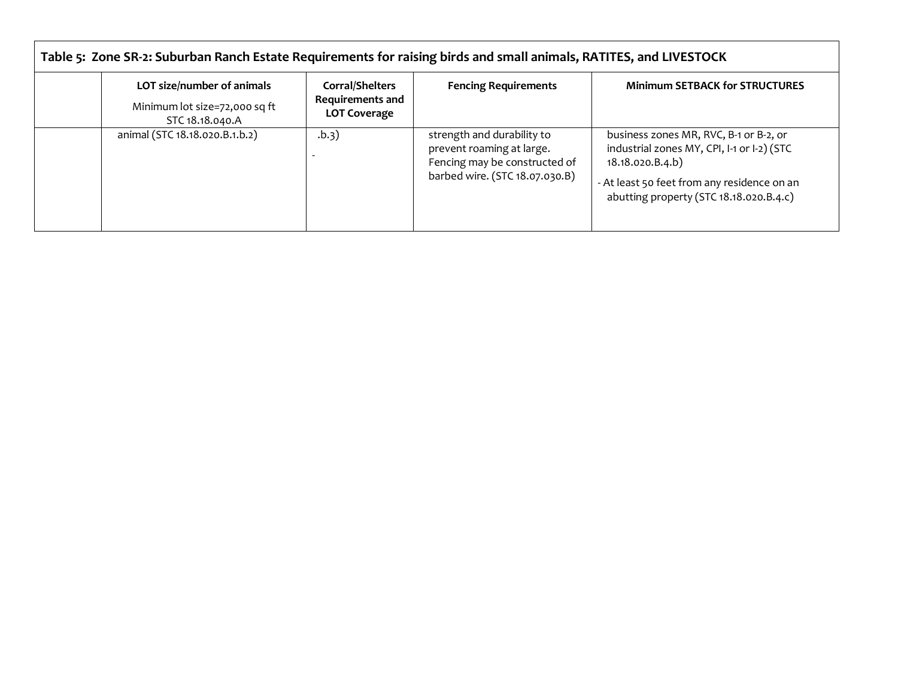| Table 5: Zone SR-2: Suburban Ranch Estate Requirements for raising birds and small animals, RATITES, and LIVESTOCK |                                                                          |                                                                                                                            |                                                                                                                                                                                                    |  |
|--------------------------------------------------------------------------------------------------------------------|--------------------------------------------------------------------------|----------------------------------------------------------------------------------------------------------------------------|----------------------------------------------------------------------------------------------------------------------------------------------------------------------------------------------------|--|
| LOT size/number of animals<br>Minimum lot size=72,000 sq ft<br>STC 18.18.040.A                                     | <b>Corral/Shelters</b><br><b>Requirements and</b><br><b>LOT Coverage</b> | <b>Fencing Requirements</b>                                                                                                | <b>Minimum SETBACK for STRUCTURES</b>                                                                                                                                                              |  |
| animal (STC 18.18.020.B.1.b.2)                                                                                     | (b.3)                                                                    | strength and durability to<br>prevent roaming at large.<br>Fencing may be constructed of<br>barbed wire. (STC 18.07.030.B) | business zones MR, RVC, B-1 or B-2, or<br>industrial zones MY, CPI, I-1 or I-2) (STC<br>18.18.020.B.4.b)<br>- At least 50 feet from any residence on an<br>abutting property (STC 18.18.020.B.4.c) |  |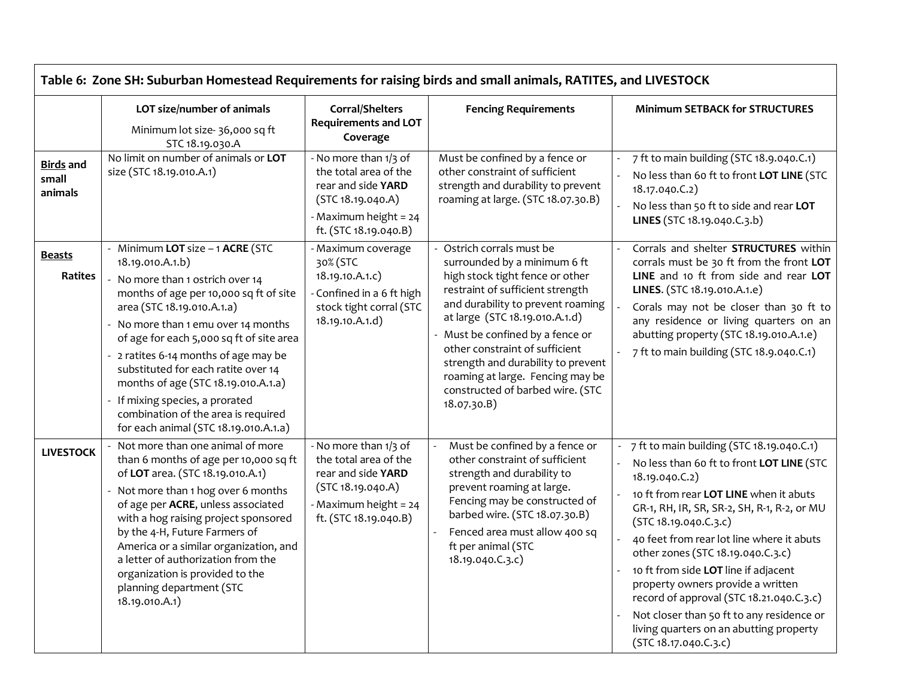| Table 6: Zone SH: Suburban Homestead Requirements for raising birds and small animals, RATITES, and LIVESTOCK |                                                                                                                                                                                                                                                                                                                                                                                                                                                                                         |                                                                                                                                             |                                                                                                                                                                                                                                                                                                                                                                                                          |                                                                                                                                                                                                                                                                                                                                                                                                                                                                                                                                                        |  |
|---------------------------------------------------------------------------------------------------------------|-----------------------------------------------------------------------------------------------------------------------------------------------------------------------------------------------------------------------------------------------------------------------------------------------------------------------------------------------------------------------------------------------------------------------------------------------------------------------------------------|---------------------------------------------------------------------------------------------------------------------------------------------|----------------------------------------------------------------------------------------------------------------------------------------------------------------------------------------------------------------------------------------------------------------------------------------------------------------------------------------------------------------------------------------------------------|--------------------------------------------------------------------------------------------------------------------------------------------------------------------------------------------------------------------------------------------------------------------------------------------------------------------------------------------------------------------------------------------------------------------------------------------------------------------------------------------------------------------------------------------------------|--|
|                                                                                                               | LOT size/number of animals<br>Minimum lot size-36,000 sq ft<br>STC 18.19.030.A                                                                                                                                                                                                                                                                                                                                                                                                          | Corral/Shelters<br><b>Requirements and LOT</b><br>Coverage                                                                                  | <b>Fencing Requirements</b>                                                                                                                                                                                                                                                                                                                                                                              | <b>Minimum SETBACK for STRUCTURES</b>                                                                                                                                                                                                                                                                                                                                                                                                                                                                                                                  |  |
| <b>Birds</b> and<br>small<br>animals                                                                          | No limit on number of animals or LOT<br>size (STC 18.19.010.A.1)                                                                                                                                                                                                                                                                                                                                                                                                                        | - No more than 1/3 of<br>the total area of the<br>rear and side YARD<br>(STC 18.19.040.A)<br>- Maximum height = 24<br>ft. (STC 18.19.040.B) | Must be confined by a fence or<br>other constraint of sufficient<br>strength and durability to prevent<br>roaming at large. (STC 18.07.30.B)                                                                                                                                                                                                                                                             | 7 ft to main building (STC 18.9.040.C.1)<br>No less than 60 ft to front LOT LINE (STC<br>18.17.040.C.2)<br>No less than 50 ft to side and rear LOT<br>LINES (STC 18.19.040.C.3.b)                                                                                                                                                                                                                                                                                                                                                                      |  |
| <b>Beasts</b><br><b>Ratites</b>                                                                               | - Minimum LOT size - 1 ACRE (STC<br>18.19.010.A.1.b)<br>No more than 1 ostrich over 14<br>months of age per 10,000 sq ft of site<br>area (STC 18.19.010.A.1.a)<br>No more than 1 emu over 14 months<br>of age for each 5,000 sq ft of site area<br>- 2 ratites 6-14 months of age may be<br>substituted for each ratite over 14<br>months of age (STC 18.19.010.A.1.a)<br>If mixing species, a prorated<br>combination of the area is required<br>for each animal (STC 18.19.010.A.1.a) | - Maximum coverage<br>30% (STC<br>18.19.10.A.1.c)<br>- Confined in a 6 ft high<br>stock tight corral (STC<br>18.19.10.A.1.d)                | Ostrich corrals must be<br>surrounded by a minimum 6 ft<br>high stock tight fence or other<br>restraint of sufficient strength<br>and durability to prevent roaming<br>at large (STC 18.19.010.A.1.d)<br>- Must be confined by a fence or<br>other constraint of sufficient<br>strength and durability to prevent<br>roaming at large. Fencing may be<br>constructed of barbed wire. (STC<br>18.07.30.B) | Corrals and shelter <b>STRUCTURES</b> within<br>corrals must be 30 ft from the front LOT<br>LINE and 10 ft from side and rear LOT<br>LINES. (STC 18.19.010.A.1.e)<br>Corals may not be closer than 30 ft to<br>any residence or living quarters on an<br>abutting property (STC 18.19.010.A.1.e)<br>7 ft to main building (STC 18.9.040.C.1)                                                                                                                                                                                                           |  |
| <b>LIVESTOCK</b>                                                                                              | Not more than one animal of more<br>than 6 months of age per 10,000 sq ft<br>of LOT area. (STC 18.19.010.A.1)<br>Not more than 1 hog over 6 months<br>of age per ACRE, unless associated<br>with a hog raising project sponsored<br>by the 4-H, Future Farmers of<br>America or a similar organization, and<br>a letter of authorization from the<br>organization is provided to the<br>planning department (STC<br>18.19.010.A.1)                                                      | - No more than 1/3 of<br>the total area of the<br>rear and side YARD<br>(STC 18.19.040.A)<br>- Maximum height = 24<br>ft. (STC 18.19.040.B) | Must be confined by a fence or<br>other constraint of sufficient<br>strength and durability to<br>prevent roaming at large.<br>Fencing may be constructed of<br>barbed wire. (STC 18.07.30.B)<br>Fenced area must allow 400 sq<br>ft per animal (STC<br>18.19.040.C.3.c)                                                                                                                                 | 7 ft to main building (STC 18.19.040.C.1)<br>No less than 60 ft to front LOT LINE (STC<br>18.19.040.C.2)<br>10 ft from rear LOT LINE when it abuts<br>GR-1, RH, IR, SR, SR-2, SH, R-1, R-2, or MU<br>(STC 18.19.040.C.3.c)<br>40 feet from rear lot line where it abuts<br>other zones (STC 18.19.040.C.3.c)<br>10 ft from side LOT line if adjacent<br>property owners provide a written<br>record of approval (STC 18.21.040.C.3.c)<br>Not closer than 50 ft to any residence or<br>living quarters on an abutting property<br>(STC 18.17.040.C.3.c) |  |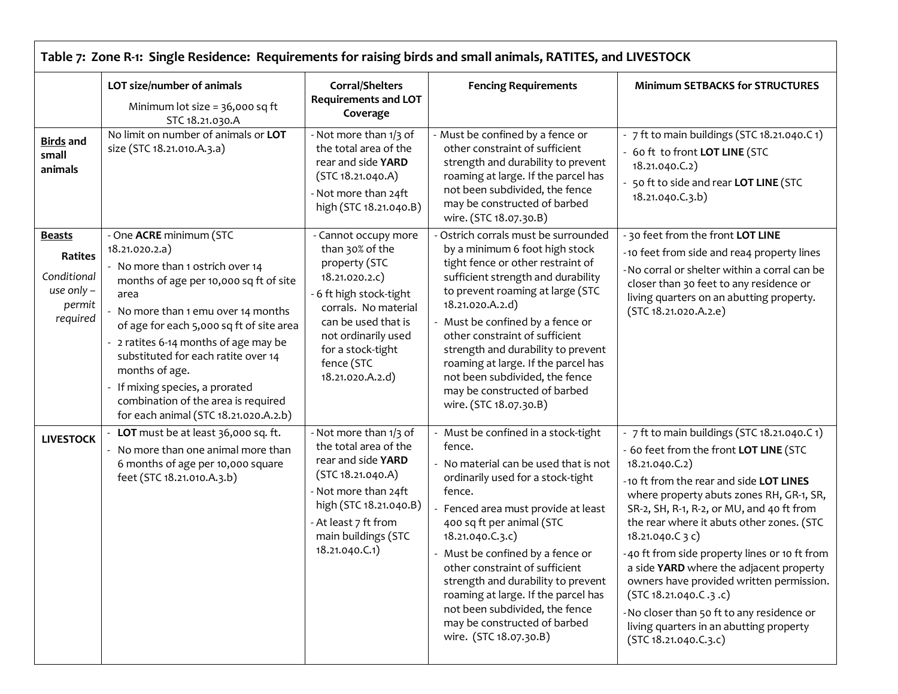| Table 7: Zone R-1: Single Residence: Requirements for raising birds and small animals, RATITES, and LIVESTOCK |                                                                                                                                                                                                                                                                                                                                                                                                                                     |                                                                                                                                                                                                                                    |                                                                                                                                                                                                                                                                                                                                                                                                                                                                          |                                                                                                                                                                                                                                                                                                                                                                                                                                                                                                                                                                                                |  |
|---------------------------------------------------------------------------------------------------------------|-------------------------------------------------------------------------------------------------------------------------------------------------------------------------------------------------------------------------------------------------------------------------------------------------------------------------------------------------------------------------------------------------------------------------------------|------------------------------------------------------------------------------------------------------------------------------------------------------------------------------------------------------------------------------------|--------------------------------------------------------------------------------------------------------------------------------------------------------------------------------------------------------------------------------------------------------------------------------------------------------------------------------------------------------------------------------------------------------------------------------------------------------------------------|------------------------------------------------------------------------------------------------------------------------------------------------------------------------------------------------------------------------------------------------------------------------------------------------------------------------------------------------------------------------------------------------------------------------------------------------------------------------------------------------------------------------------------------------------------------------------------------------|--|
|                                                                                                               | LOT size/number of animals<br>Minimum lot size = 36,000 sq ft<br>STC 18.21.030.A                                                                                                                                                                                                                                                                                                                                                    | Corral/Shelters<br><b>Requirements and LOT</b><br>Coverage                                                                                                                                                                         | <b>Fencing Requirements</b>                                                                                                                                                                                                                                                                                                                                                                                                                                              | <b>Minimum SETBACKS for STRUCTURES</b>                                                                                                                                                                                                                                                                                                                                                                                                                                                                                                                                                         |  |
| <b>Birds</b> and<br>small<br>animals                                                                          | No limit on number of animals or LOT<br>size (STC 18.21.010.A.3.a)                                                                                                                                                                                                                                                                                                                                                                  | - Not more than 1/3 of<br>the total area of the<br>rear and side YARD<br>(STC 18.21.040.A)<br>- Not more than 24ft<br>high (STC 18.21.040.B)                                                                                       | - Must be confined by a fence or<br>other constraint of sufficient<br>strength and durability to prevent<br>roaming at large. If the parcel has<br>not been subdivided, the fence<br>may be constructed of barbed<br>wire. (STC 18.07.30.B)                                                                                                                                                                                                                              | - 7 ft to main buildings (STC 18.21.040.C 1)<br>- 60 ft to front LOT LINE (STC<br>18.21.040.C.2)<br>50 ft to side and rear LOT LINE (STC<br>18.21.040.C.3.b)                                                                                                                                                                                                                                                                                                                                                                                                                                   |  |
| <b>Beasts</b><br>Ratites<br>Conditional<br>use only $-$<br>permit<br>required                                 | - One ACRE minimum (STC<br>18.21.020.2.a)<br>- No more than 1 ostrich over 14<br>months of age per 10,000 sq ft of site<br>area<br>No more than 1 emu over 14 months<br>of age for each 5,000 sq ft of site area<br>- 2 ratites 6-14 months of age may be<br>substituted for each ratite over 14<br>months of age.<br>If mixing species, a prorated<br>combination of the area is required<br>for each animal (STC 18.21.020.A.2.b) | - Cannot occupy more<br>than 30% of the<br>property (STC<br>18.21.020.2.C)<br>- 6 ft high stock-tight<br>corrals. No material<br>can be used that is<br>not ordinarily used<br>for a stock-tight<br>fence (STC<br>18.21.020.A.2.d) | Ostrich corrals must be surrounded<br>by a minimum 6 foot high stock<br>tight fence or other restraint of<br>sufficient strength and durability<br>to prevent roaming at large (STC<br>18.21.020.A.2.d)<br>- Must be confined by a fence or<br>other constraint of sufficient<br>strength and durability to prevent<br>roaming at large. If the parcel has<br>not been subdivided, the fence<br>may be constructed of barbed<br>wire. (STC 18.07.30.B)                   | - 30 feet from the front LOT LINE<br>-10 feet from side and rea4 property lines<br>- No corral or shelter within a corral can be<br>closer than 30 feet to any residence or<br>living quarters on an abutting property.<br>(STC 18.21.020.A.2.e)                                                                                                                                                                                                                                                                                                                                               |  |
| <b>LIVESTOCK</b>                                                                                              | LOT must be at least 36,000 sq. ft.<br>- No more than one animal more than<br>6 months of age per 10,000 square<br>feet (STC 18.21.010.A.3.b)                                                                                                                                                                                                                                                                                       | - Not more than 1/3 of<br>the total area of the<br>rear and side YARD<br>(STC 18.21.040.A)<br>- Not more than 24ft<br>high (STC 18.21.040.B)<br>- At least 7 ft from<br>main buildings (STC<br>18.21.040.C.1)                      | - Must be confined in a stock-tight<br>fence.<br>- No material can be used that is not<br>ordinarily used for a stock-tight<br>fence.<br>Fenced area must provide at least<br>400 sq ft per animal (STC<br>18.21.040.C.3.c)<br>Must be confined by a fence or<br>other constraint of sufficient<br>strength and durability to prevent<br>roaming at large. If the parcel has<br>not been subdivided, the fence<br>may be constructed of barbed<br>wire. (STC 18.07.30.B) | - 7 ft to main buildings (STC 18.21.040.C 1)<br>- 60 feet from the front LOT LINE (STC<br>18.21.040.C.2)<br>-10 ft from the rear and side LOT LINES<br>where property abuts zones RH, GR-1, SR,<br>SR-2, SH, R-1, R-2, or MU, and 40 ft from<br>the rear where it abuts other zones. (STC<br>18.21.040.C 3 c)<br>40 ft from side property lines or 10 ft from<br>a side YARD where the adjacent property<br>owners have provided written permission.<br>(STC 18.21.040.C.3.c)<br>-No closer than 50 ft to any residence or<br>living quarters in an abutting property<br>(STC 18.21.040.C.3.c) |  |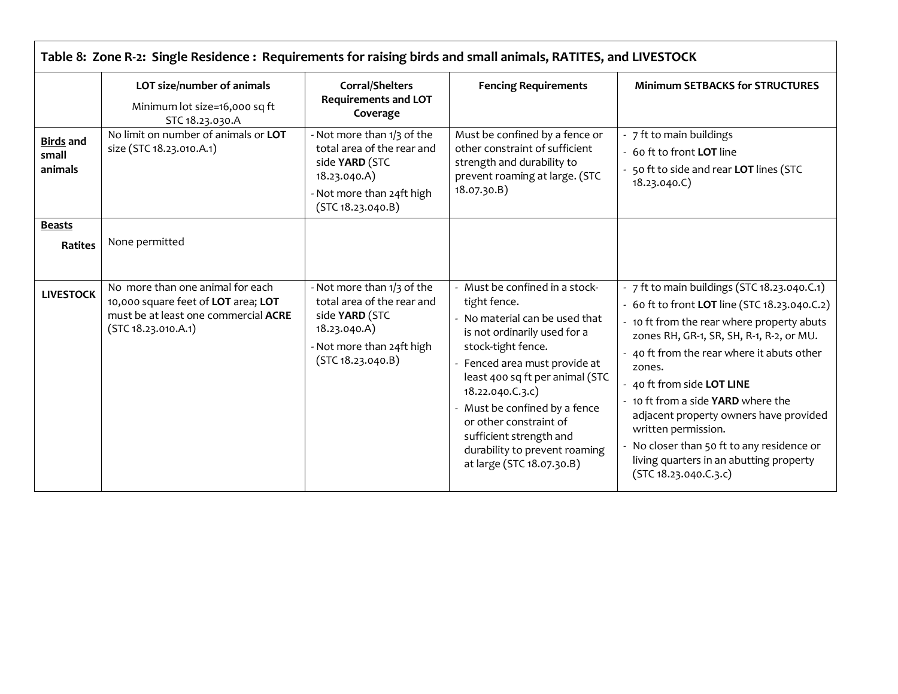|                                      | LOT size/number of animals<br>Minimum lot size=16,000 sq ft<br>STC 18.23.030.A                                                         | Corral/Shelters<br><b>Requirements and LOT</b><br>Coverage                                                                                   | <b>Fencing Requirements</b>                                                                                                                                                                                                                                                                                                                                                    | <b>Minimum SETBACKS for STRUCTURES</b>                                                                                                                                                                                                                                                                                                                                                                                                                                                             |
|--------------------------------------|----------------------------------------------------------------------------------------------------------------------------------------|----------------------------------------------------------------------------------------------------------------------------------------------|--------------------------------------------------------------------------------------------------------------------------------------------------------------------------------------------------------------------------------------------------------------------------------------------------------------------------------------------------------------------------------|----------------------------------------------------------------------------------------------------------------------------------------------------------------------------------------------------------------------------------------------------------------------------------------------------------------------------------------------------------------------------------------------------------------------------------------------------------------------------------------------------|
| <b>Birds</b> and<br>small<br>animals | No limit on number of animals or LOT<br>size (STC 18.23.010.A.1)                                                                       | - Not more than 1/3 of the<br>total area of the rear and<br>side YARD (STC<br>18.23.040.A)<br>- Not more than 24ft high<br>(STC 18.23.040.B) | Must be confined by a fence or<br>other constraint of sufficient<br>strength and durability to<br>prevent roaming at large. (STC<br>18.07.30.B)                                                                                                                                                                                                                                | - 7 ft to main buildings<br>60 ft to front <b>LOT</b> line<br>50 ft to side and rear LOT lines (STC<br>18.23.040.C)                                                                                                                                                                                                                                                                                                                                                                                |
| <b>Beasts</b><br><b>Ratites</b>      | None permitted                                                                                                                         |                                                                                                                                              |                                                                                                                                                                                                                                                                                                                                                                                |                                                                                                                                                                                                                                                                                                                                                                                                                                                                                                    |
| <b>LIVESTOCK</b>                     | No more than one animal for each<br>10,000 square feet of LOT area; LOT<br>must be at least one commercial ACRE<br>(STC 18.23.010.A.1) | - Not more than 1/3 of the<br>total area of the rear and<br>side YARD (STC<br>18.23.040.A)<br>- Not more than 24ft high<br>(STC 18.23.040.B) | - Must be confined in a stock-<br>tight fence.<br>No material can be used that<br>is not ordinarily used for a<br>stock-tight fence.<br>Fenced area must provide at<br>least 400 sq ft per animal (STC<br>18.22.040.C.3.c)<br>- Must be confined by a fence<br>or other constraint of<br>sufficient strength and<br>durability to prevent roaming<br>at large (STC 18.07.30.B) | - 7 ft to main buildings (STC 18.23.040.C.1)<br>- 60 ft to front LOT line (STC 18.23.040.C.2)<br>- 10 ft from the rear where property abuts<br>zones RH, GR-1, SR, SH, R-1, R-2, or MU.<br>- 40 ft from the rear where it abuts other<br>zones.<br>40 ft from side LOT LINE<br>- 10 ft from a side YARD where the<br>adjacent property owners have provided<br>written permission.<br>No closer than 50 ft to any residence or<br>living quarters in an abutting property<br>(STC 18.23.040.C.3.c) |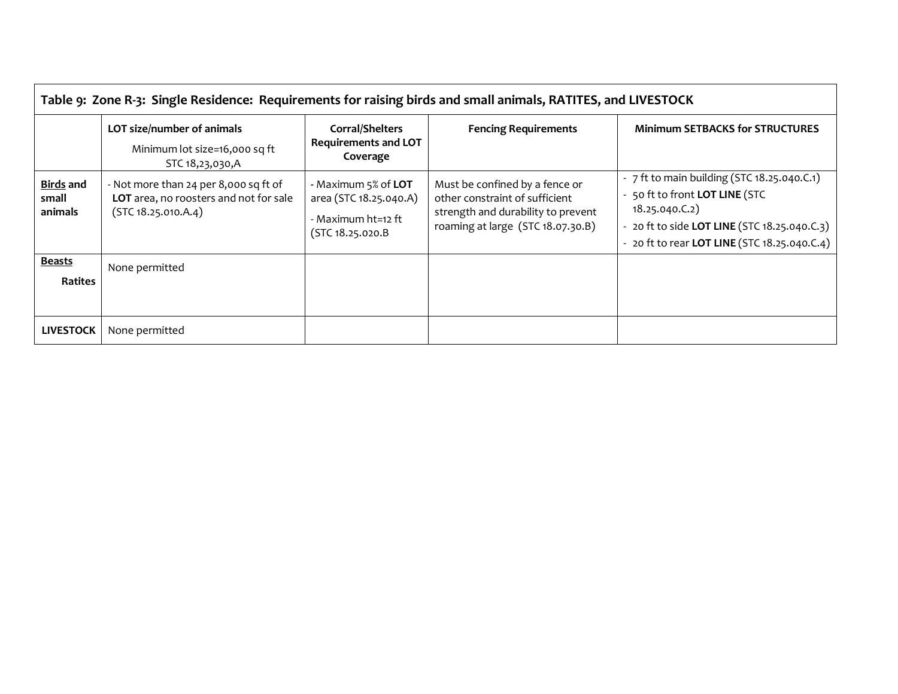| Table 9: Zone R-3: Single Residence: Requirements for raising birds and small animals, RATITES, and LIVESTOCK |                                                                                                        |                                                                                         |                                                                                                                                             |                                                                                                                                                                                                 |
|---------------------------------------------------------------------------------------------------------------|--------------------------------------------------------------------------------------------------------|-----------------------------------------------------------------------------------------|---------------------------------------------------------------------------------------------------------------------------------------------|-------------------------------------------------------------------------------------------------------------------------------------------------------------------------------------------------|
|                                                                                                               | LOT size/number of animals<br>Minimum lot size=16,000 sq ft<br>STC 18,23,030,A                         | Corral/Shelters<br><b>Requirements and LOT</b><br>Coverage                              | <b>Fencing Requirements</b>                                                                                                                 | <b>Minimum SETBACKS for STRUCTURES</b>                                                                                                                                                          |
| <b>Birds and</b><br>small<br>animals                                                                          | - Not more than 24 per 8,000 sq ft of<br>LOT area, no roosters and not for sale<br>(STC 18.25.010.A.4) | - Maximum 5% of LOT<br>area (STC 18.25.040.A)<br>- Maximum ht=12 ft<br>(STC 18.25.020.B | Must be confined by a fence or<br>other constraint of sufficient<br>strength and durability to prevent<br>roaming at large (STC 18.07.30.B) | - 7 ft to main building (STC 18.25.040.C.1)<br>- 50 ft to front LOT LINE (STC<br>18.25.040.C.2)<br>- 20 ft to side LOT LINE (STC 18.25.040.C.3)<br>- 20 ft to rear LOT LINE (STC 18.25.040.C.4) |
| <b>Beasts</b><br><b>Ratites</b>                                                                               | None permitted                                                                                         |                                                                                         |                                                                                                                                             |                                                                                                                                                                                                 |
| <b>LIVESTOCK</b>                                                                                              | None permitted                                                                                         |                                                                                         |                                                                                                                                             |                                                                                                                                                                                                 |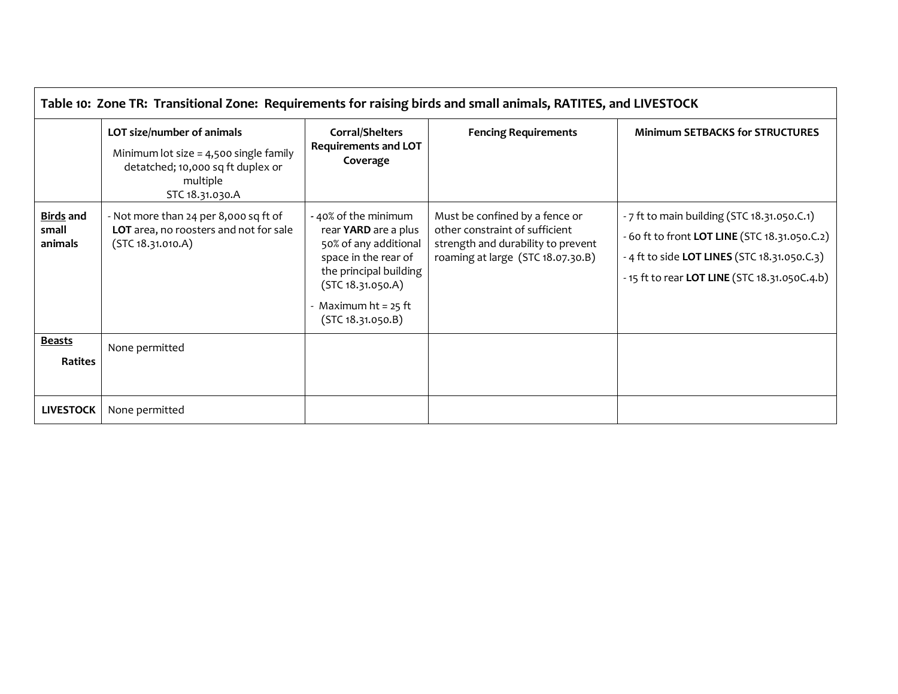| Table 10: Zone TR: Transitional Zone: Requirements for raising birds and small animals, RATITES, and LIVESTOCK |                                                                                                                                            |                                                                                                                                                                                           |                                                                                                                                             |                                                                                                                                                                                               |
|----------------------------------------------------------------------------------------------------------------|--------------------------------------------------------------------------------------------------------------------------------------------|-------------------------------------------------------------------------------------------------------------------------------------------------------------------------------------------|---------------------------------------------------------------------------------------------------------------------------------------------|-----------------------------------------------------------------------------------------------------------------------------------------------------------------------------------------------|
|                                                                                                                | LOT size/number of animals<br>Minimum lot size $=$ 4,500 single family<br>detatched; 10,000 sq ft duplex or<br>multiple<br>STC 18.31.030.A | Corral/Shelters<br><b>Requirements and LOT</b><br>Coverage                                                                                                                                | <b>Fencing Requirements</b>                                                                                                                 | <b>Minimum SETBACKS for STRUCTURES</b>                                                                                                                                                        |
| <b>Birds and</b><br>small<br>animals                                                                           | - Not more than 24 per 8,000 sq ft of<br>LOT area, no roosters and not for sale<br>(STC 18.31.010.A)                                       | - 40% of the minimum<br>rear YARD are a plus<br>50% of any additional<br>space in the rear of<br>the principal building<br>(STC 18.31.050.A)<br>Maximum $ht = 25$ ft<br>(STC 18.31.050.B) | Must be confined by a fence or<br>other constraint of sufficient<br>strength and durability to prevent<br>roaming at large (STC 18.07.30.B) | - 7 ft to main building (STC 18.31.050.C.1)<br>- 60 ft to front LOT LINE (STC 18.31.050.C.2)<br>- 4 ft to side LOT LINES (STC 18.31.050.C.3)<br>- 15 ft to rear LOT LINE (STC 18.31.050C.4.b) |
| Beasts<br>Ratites                                                                                              | None permitted                                                                                                                             |                                                                                                                                                                                           |                                                                                                                                             |                                                                                                                                                                                               |
| <b>LIVESTOCK</b>                                                                                               | None permitted                                                                                                                             |                                                                                                                                                                                           |                                                                                                                                             |                                                                                                                                                                                               |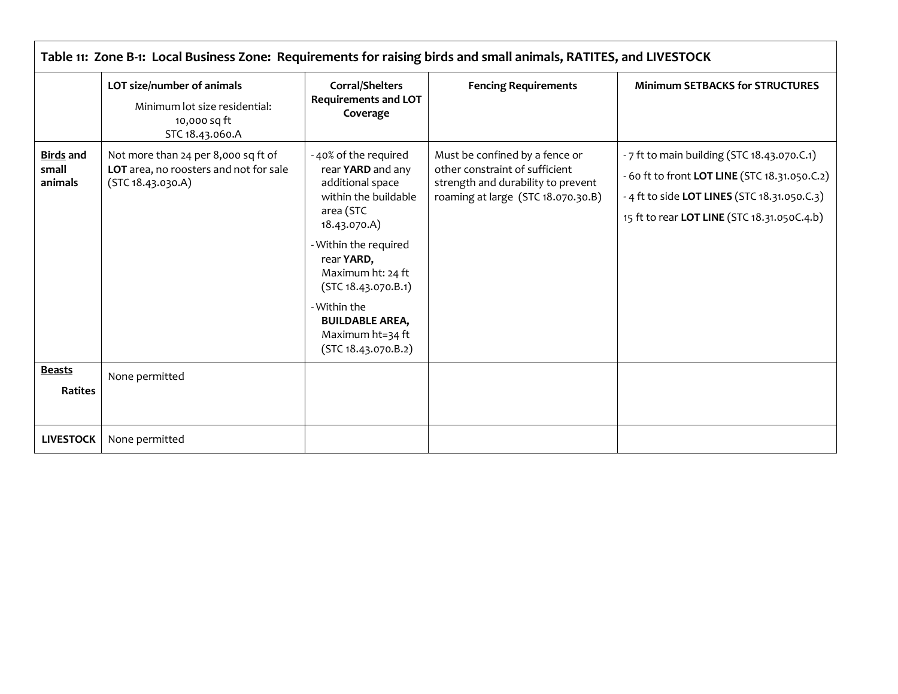| Table 11: Zone B-1: Local Business Zone: Requirements for raising birds and small animals, RATITES, and LIVESTOCK |                                                                                                    |                                                                                                                                                                                                                                                                                            |                                                                                                                                              |                                                                                                                                                                                             |  |  |
|-------------------------------------------------------------------------------------------------------------------|----------------------------------------------------------------------------------------------------|--------------------------------------------------------------------------------------------------------------------------------------------------------------------------------------------------------------------------------------------------------------------------------------------|----------------------------------------------------------------------------------------------------------------------------------------------|---------------------------------------------------------------------------------------------------------------------------------------------------------------------------------------------|--|--|
|                                                                                                                   | LOT size/number of animals<br>Minimum lot size residential:<br>10,000 sq ft<br>STC 18.43.060.A     | <b>Corral/Shelters</b><br><b>Requirements and LOT</b><br>Coverage                                                                                                                                                                                                                          | <b>Fencing Requirements</b>                                                                                                                  | <b>Minimum SETBACKS for STRUCTURES</b>                                                                                                                                                      |  |  |
| <b>Birds and</b><br>small<br>animals                                                                              | Not more than 24 per 8,000 sq ft of<br>LOT area, no roosters and not for sale<br>(STC 18.43.030.A) | -40% of the required<br>rear YARD and any<br>additional space<br>within the buildable<br>area (STC<br>18.43.070.A)<br>- Within the required<br>rear YARD,<br>Maximum ht: 24 ft<br>(STC 18.43.070.B.1)<br>- Within the<br><b>BUILDABLE AREA,</b><br>Maximum ht=34 ft<br>(STC 18.43.070.B.2) | Must be confined by a fence or<br>other constraint of sufficient<br>strength and durability to prevent<br>roaming at large (STC 18.070.30.B) | - 7 ft to main building (STC 18.43.070.C.1)<br>- 60 ft to front LOT LINE (STC 18.31.050.C.2)<br>- 4 ft to side LOT LINES (STC 18.31.050.C.3)<br>15 ft to rear LOT LINE (STC 18.31.050C.4.b) |  |  |
| <b>Beasts</b><br><b>Ratites</b>                                                                                   | None permitted                                                                                     |                                                                                                                                                                                                                                                                                            |                                                                                                                                              |                                                                                                                                                                                             |  |  |
| <b>LIVESTOCK</b>                                                                                                  | None permitted                                                                                     |                                                                                                                                                                                                                                                                                            |                                                                                                                                              |                                                                                                                                                                                             |  |  |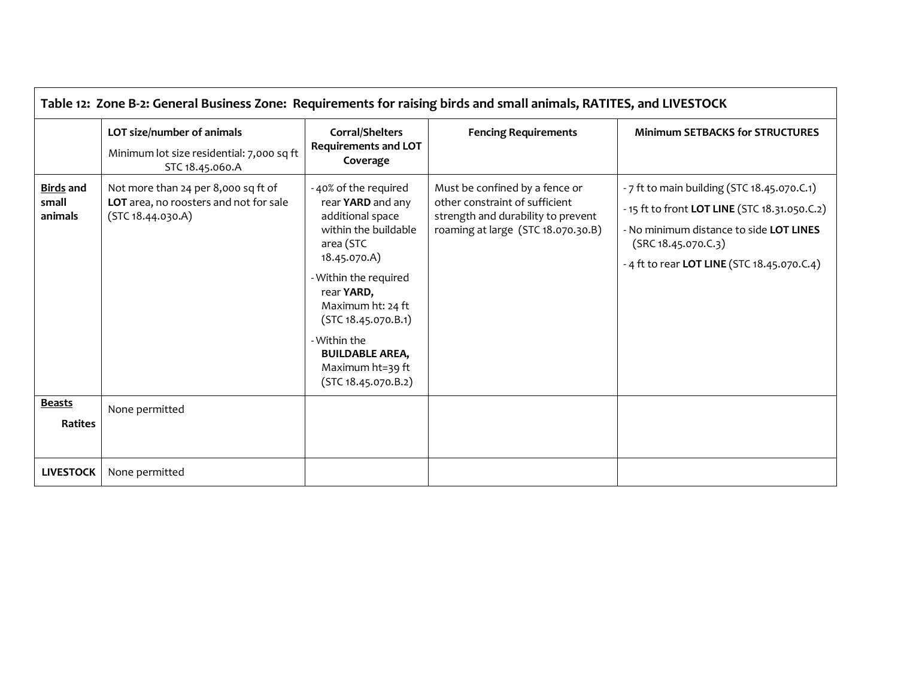| Table 12: Zone B-2: General Business Zone: Requirements for raising birds and small animals, RATITES, and LIVESTOCK |                                                                                                    |                                                                                                                                                                                                                                                                                            |                                                                                                                                              |                                                                                                                                                                                                               |  |  |
|---------------------------------------------------------------------------------------------------------------------|----------------------------------------------------------------------------------------------------|--------------------------------------------------------------------------------------------------------------------------------------------------------------------------------------------------------------------------------------------------------------------------------------------|----------------------------------------------------------------------------------------------------------------------------------------------|---------------------------------------------------------------------------------------------------------------------------------------------------------------------------------------------------------------|--|--|
|                                                                                                                     | LOT size/number of animals<br>Minimum lot size residential: 7,000 sq ft<br>STC 18.45.060.A         | Corral/Shelters<br><b>Requirements and LOT</b><br>Coverage                                                                                                                                                                                                                                 | <b>Fencing Requirements</b>                                                                                                                  | <b>Minimum SETBACKS for STRUCTURES</b>                                                                                                                                                                        |  |  |
| <b>Birds and</b><br>small<br>animals                                                                                | Not more than 24 per 8,000 sq ft of<br>LOT area, no roosters and not for sale<br>(STC 18.44.030.A) | -40% of the required<br>rear YARD and any<br>additional space<br>within the buildable<br>area (STC<br>18.45.070.A)<br>- Within the required<br>rear YARD,<br>Maximum ht: 24 ft<br>(STC 18.45.070.B.1)<br>- Within the<br><b>BUILDABLE AREA,</b><br>Maximum ht=39 ft<br>(STC 18.45.070.B.2) | Must be confined by a fence or<br>other constraint of sufficient<br>strength and durability to prevent<br>roaming at large (STC 18.070.30.B) | - 7 ft to main building (STC 18.45.070.C.1)<br>- 15 ft to front LOT LINE (STC 18.31.050.C.2)<br>- No minimum distance to side LOT LINES<br>(SRC 18.45.070.C.3)<br>- 4 ft to rear LOT LINE (STC 18.45.070.C.4) |  |  |
| <b>Beasts</b><br><b>Ratites</b>                                                                                     | None permitted                                                                                     |                                                                                                                                                                                                                                                                                            |                                                                                                                                              |                                                                                                                                                                                                               |  |  |
| <b>LIVESTOCK</b>                                                                                                    | None permitted                                                                                     |                                                                                                                                                                                                                                                                                            |                                                                                                                                              |                                                                                                                                                                                                               |  |  |

 $\overline{\phantom{a}}$